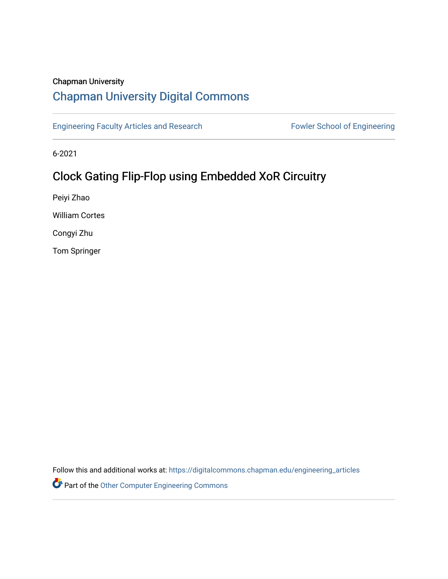## Chapman University

# [Chapman University Digital Commons](https://digitalcommons.chapman.edu/)

[Engineering Faculty Articles and Research](https://digitalcommons.chapman.edu/engineering_articles) Fowler School of Engineering

6-2021

# Clock Gating Flip-Flop using Embedded XoR Circuitry

Peiyi Zhao

William Cortes

Congyi Zhu

Tom Springer

Follow this and additional works at: [https://digitalcommons.chapman.edu/engineering\\_articles](https://digitalcommons.chapman.edu/engineering_articles?utm_source=digitalcommons.chapman.edu%2Fengineering_articles%2F105&utm_medium=PDF&utm_campaign=PDFCoverPages) 

**Part of the [Other Computer Engineering Commons](http://network.bepress.com/hgg/discipline/265?utm_source=digitalcommons.chapman.edu%2Fengineering_articles%2F105&utm_medium=PDF&utm_campaign=PDFCoverPages)**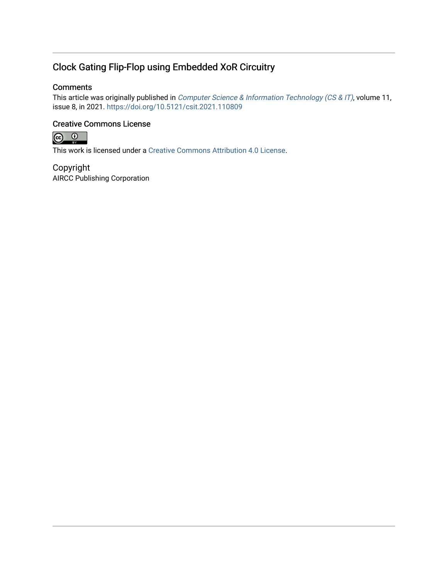## Clock Gating Flip-Flop using Embedded XoR Circuitry

#### **Comments**

This article was originally published in *[Computer Science & Information Technology \(CS & IT\)](https://aircconline.com/csit/abstract/v11n8/csit110809.html)*, volume 11, issue 8, in 2021. <https://doi.org/10.5121/csit.2021.110809>

#### Creative Commons License



This work is licensed under a [Creative Commons Attribution 4.0 License](https://creativecommons.org/licenses/by/4.0/).

Copyright AIRCC Publishing Corporation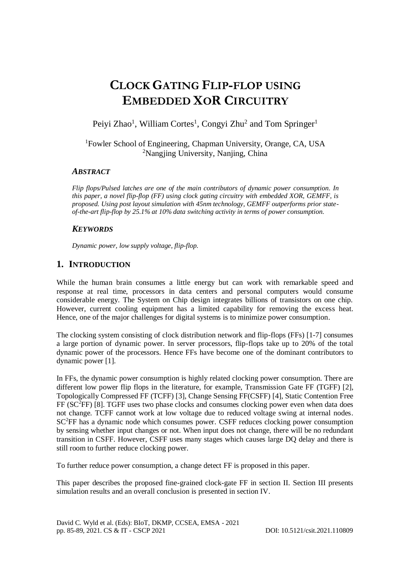# **CLOCK GATING FLIP-FLOP USING EMBEDDED XOR CIRCUITRY**

Peiyi Zhao<sup>1</sup>, William Cortes<sup>1</sup>, Congyi Zhu<sup>2</sup> and Tom Springer<sup>1</sup>

<sup>1</sup>Fowler School of Engineering, Chapman University, Orange, CA, USA <sup>2</sup>Nangjing University, Nanjing, China

#### *ABSTRACT*

*Flip flops/Pulsed latches are one of the main contributors of dynamic power consumption. In this paper, a novel flip-flop (FF) using clock gating circuitry with embedded XOR, GEMFF, is proposed. Using post layout simulation with 45nm technology, GEMFF outperforms prior stateof-the-art flip-flop by 25.1% at 10% data switching activity in terms of power consumption.*

#### *KEYWORDS*

*Dynamic power, low supply voltage, flip-flop.*

### **1. INTRODUCTION**

While the human brain consumes a little energy but can work with remarkable speed and response at real time, processors in data centers and personal computers would consume considerable energy. The System on Chip design integrates billions of transistors on one chip. However, current cooling equipment has a limited capability for removing the excess heat. Hence, one of the major challenges for digital systems is to minimize power consumption.

The clocking system consisting of clock distribution network and flip-flops (FFs) [1-7] consumes a large portion of dynamic power. In server processors, flip-flops take up to 20% of the total dynamic power of the processors. Hence FFs have become one of the dominant contributors to dynamic power [1].

In FFs, the dynamic power consumption is highly related clocking power consumption. There are different low power flip flops in the literature, for example, Transmission Gate FF (TGFF) [2], Topologically Compressed FF (TCFF) [3], Change Sensing FF(CSFF) [4], Static Contention Free  $FF (SC<sup>2</sup>FF)$  [8]. TGFF uses two phase clocks and consumes clocking power even when data does not change. TCFF cannot work at low voltage due to reduced voltage swing at internal nodes.  $SC<sup>2</sup>FF$  has a dynamic node which consumes power. CSFF reduces clocking power consumption by sensing whether input changes or not. When input does not change, there will be no redundant transition in CSFF. However, CSFF uses many stages which causes large DQ delay and there is still room to further reduce clocking power.

To further reduce power consumption, a change detect FF is proposed in this paper.

This paper describes the proposed fine-grained clock-gate FF in section II. Section III presents simulation results and an overall conclusion is presented in section IV.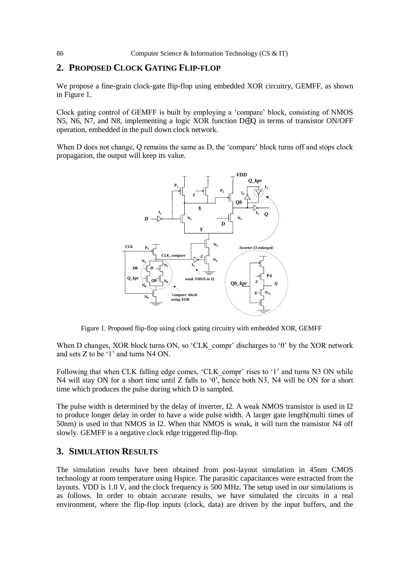#### **2. PROPOSED CLOCK GATING FLIP-FLOP**

We propose a fine-grain clock-gate flip-flop using embedded XOR circuitry, GEMFF, as shown in Figure 1.

Clock gating control of GEMFF is built by employing a 'compare' block, consisting of NMOS N5, N6, N7, and N8, implementing a logic XOR function D⊕Q in terms of transistor ON/OFF operation, embedded in the pull down clock network.

When D does not change, O remains the same as D, the 'compare' block turns off and stops clock propagation, the output will keep its value.



Figure 1. Proposed flip-flop using clock gating circuitry with embedded XOR, GEMFF

When D changes, XOR block turns ON, so 'CLK compr' discharges to '0' by the XOR network and sets Z to be '1' and turns N4 ON.

Following that when CLK falling edge comes, 'CLK compr' rises to '1' and turns N3 ON while N4 will stay ON for a short time until Z falls to '0', hence both N3, N4 will be ON for a short time which produces the pulse during which D is sampled.

The pulse width is determined by the delay of inverter, I2. A weak NMOS transistor is used in I2 to produce longer delay in order to have a wide pulse width. A larger gate length(multi times of 50nm) is used in that NMOS in I2. When that NMOS is weak, it will turn the transistor N4 off slowly. GEMFF is a negative clock edge triggered flip-flop.

#### **3. SIMULATION RESULTS**

The simulation results have been obtained from post-layout simulation in 45nm CMOS technology at room temperature using Hspice. The parasitic capacitances were extracted from the layouts. VDD is 1.0 V, and the clock frequency is 500 MHz. The setup used in our simulations is as follows. In order to obtain accurate results, we have simulated the circuits in a real environment, where the flip-flop inputs (clock, data) are driven by the input buffers, and the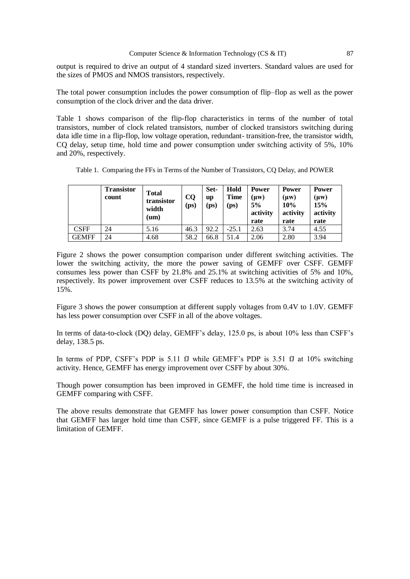output is required to drive an output of 4 standard sized inverters. Standard values are used for the sizes of PMOS and NMOS transistors, respectively.

The total power consumption includes the power consumption of flip–flop as well as the power consumption of the clock driver and the data driver.

Table 1 shows comparison of the flip-flop characteristics in terms of the number of total transistors, number of clock related transistors, number of clocked transistors switching during data idle time in a flip-flop, low voltage operation, redundant- transition-free, the transistor width, CQ delay, setup time, hold time and power consumption under switching activity of 5%, 10% and 20%, respectively.

|              | <b>Transistor</b><br>count | <b>Total</b><br>transistor<br>width<br>$(\mathbf{u}\mathbf{m})$ | CQ<br>(p <sub>S</sub> ) | Set-<br>up<br>(ps) | Hold<br><b>Time</b><br>(ps) | <b>Power</b><br>(µw)<br>5%<br>activity<br>rate | <b>Power</b><br>(µw)<br>10%<br>activity<br>rate | <b>Power</b><br>(µw)<br>15%<br>activity<br>rate |
|--------------|----------------------------|-----------------------------------------------------------------|-------------------------|--------------------|-----------------------------|------------------------------------------------|-------------------------------------------------|-------------------------------------------------|
| <b>CSFF</b>  | 24                         | 5.16                                                            | 46.3                    | 92.2               | $-25.1$                     | 2.63                                           | 3.74                                            | 4.55                                            |
| <b>GEMFF</b> | 24                         | 4.68                                                            | 58.2                    | 66.8               | 51.4                        | 2.06                                           | 2.80                                            | 3.94                                            |

Table 1. Comparing the FFs in Terms of the Number of Transistors, CQ Delay, and POWER

Figure 2 shows the power consumption comparison under different switching activities. The lower the switching activity, the more the power saving of GEMFF over CSFF. GEMFF consumes less power than CSFF by 21.8% and 25.1% at switching activities of 5% and 10%, respectively. Its power improvement over CSFF reduces to 13.5% at the switching activity of 15%.

Figure 3 shows the power consumption at different supply voltages from 0.4V to 1.0V. GEMFF has less power consumption over CSFF in all of the above voltages.

In terms of data-to-clock (DQ) delay, GEMFF's delay, 125.0 ps, is about 10% less than CSFF's delay, 138.5 ps.

In terms of PDP, CSFF's PDP is 5.11 fJ while GEMFF's PDP is 3.51 fJ at 10% switching activity. Hence, GEMFF has energy improvement over CSFF by about 30%.

Though power consumption has been improved in GEMFF, the hold time time is increased in GEMFF comparing with CSFF.

The above results demonstrate that GEMFF has lower power consumption than CSFF. Notice that GEMFF has larger hold time than CSFF, since GEMFF is a pulse triggered FF. This is a limitation of GEMFF.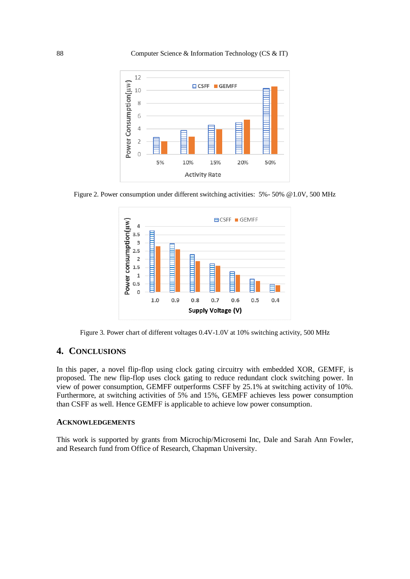



Figure 2. Power consumption under different switching activities: 5%- 50% @1.0V, 500 MHz



Figure 3. Power chart of different voltages 0.4V-1.0V at 10% switching activity, 500 MHz

#### **4. CONCLUSIONS**

In this paper, a novel flip-flop using clock gating circuitry with embedded XOR, GEMFF, is proposed. The new flip-flop uses clock gating to reduce redundant clock switching power. In view of power consumption, GEMFF outperforms CSFF by 25.1% at switching activity of 10%. Furthermore, at switching activities of 5% and 15%, GEMFF achieves less power consumption than CSFF as well. Hence GEMFF is applicable to achieve low power consumption.

#### **ACKNOWLEDGEMENTS**

This work is supported by grants from Microchip/Microsemi Inc, Dale and Sarah Ann Fowler, and Research fund from Office of Research, Chapman University.